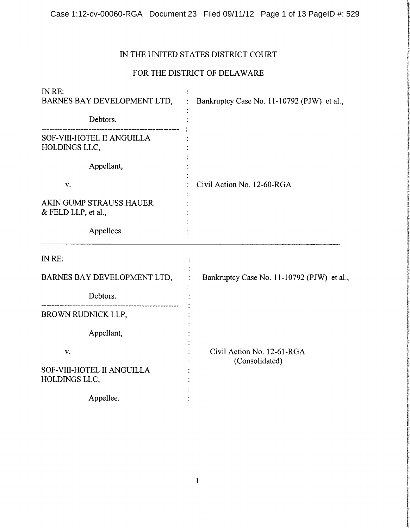## IN THE UNITED STATES DISTRICT COURT

# FOR THE DISTRICT OF DELAWARE

| IN RE:<br>BARNES BAY DEVELOPMENT LTD,          | Bankruptcy Case No. 11-10792 (PJW) et al.,   |
|------------------------------------------------|----------------------------------------------|
| Debtors.                                       |                                              |
| SOF-VIII-HOTEL II ANGUILLA<br>HOLDINGS LLC,    |                                              |
| Appellant,                                     |                                              |
| V.                                             | Civil Action No. 12-60-RGA                   |
| AKIN GUMP STRAUSS HAUER<br>& FELD LLP, et al., |                                              |
| Appellees.                                     |                                              |
| IN RE:                                         |                                              |
| BARNES BAY DEVELOPMENT LTD,                    | Bankruptcy Case No. 11-10792 (PJW) et al.,   |
| Debtors.                                       |                                              |
| BROWN RUDNICK LLP,                             |                                              |
| Appellant,                                     |                                              |
| V.                                             | Civil Action No. 12-61-RGA<br>(Consolidated) |
| SOF-VIII-HOTEL II ANGUILLA<br>HOLDINGS LLC,    |                                              |
| Appellee.                                      |                                              |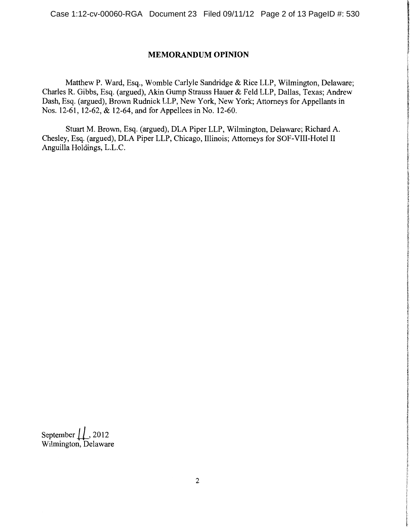## **MEMORANDUM OPINION**

Matthew P. Ward, Esq., Womble Carlyle Sandridge & Rice LLP, Wilmington, Delaware; Charles R. Gibbs, Esq. (argued), Akin Gump Strauss Hauer & Feld LLP, Dallas, Texas; Andrew Dash, Esq. (argued), Brown Rudnick LLP, New York, New York; Attorneys for Appellants in Nos. 12-61, 12-62, & 12-64, and for Appellees in No. 12-60.

Stuart M. Brown, Esq. (argued), DLA Piper LLP, Wilmington, Delaware; Richard A. Chesley, Esq. (argued), DLA Piper LLP, Chicago, Illinois; Attorneys for SOF-VIII-Hotel II Anguilla Holdings, L.L.C.

September  $\downarrow \downarrow$ , 2012 Wilmington, Delaware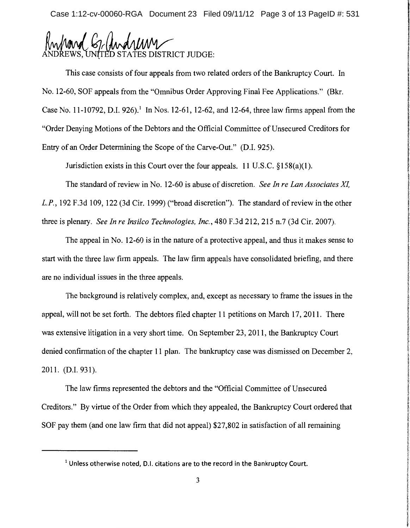Case 1:12-cv-00060-RGA Document 23 Filed 09/11/12 Page 3 of 13 PageID #: 531

(G) And MM

This case consists of four appeals from two related orders of the Bankruptcy Court. In No. 12-60, SOF appeals from the "Omnibus Order Approving Final Fee Applications." (Bkr. Case No. 11-10792, D.I. 926).<sup>1</sup> In Nos. 12-61, 12-62, and 12-64, three law firms appeal from the "Order Denying Motions of the Debtors and the Official Committee of Unsecured Creditors for Entry of an Order Determining the Scope of the Carve-Out." (D.I. 925).

Jurisdiction exists in this Court over the four appeals. 11 U.S.C. §158(a)(l).

The standard of review in No. 12-60 is abuse of discretion. *See In re Lan Associates* XL L.P., 192 F.3d 109, 122 (3d Cir. 1999) ("broad discretion"). The standard of review in the other three is plenary. *See In re Insilco Technologies, Inc.,* 480 F .3d 212, 215 n. 7 (3d Cir. 2007).

The appeal in No. 12-60 is in the nature of a protective appeal, and thus it makes sense to start with the three law firm appeals. The law firm appeals have consolidated briefing, and there are no individual issues in the three appeals.

The background is relatively complex, and, except as necessary to frame the issues in the appeal, will not be set forth. The debtors filed chapter 11 petitions on March 17, 2011. There was extensive litigation in a very short time. On September 23, 2011, the Bankruptcy Court denied confirmation of the chapter 11 plan. The bankruptcy case was dismissed on December 2, 2011. (D.I. 931).

The law firms represented the debtors and the "Official Committee of Unsecured Creditors." By virtue of the Order from which they appealed, the Bankruptcy Court ordered that SOF pay them (and one law firm that did not appeal) \$27,802 in satisfaction of all remaining

<sup>&</sup>lt;sup>1</sup> Unless otherwise noted, D.I. citations are to the record in the Bankruptcy Court.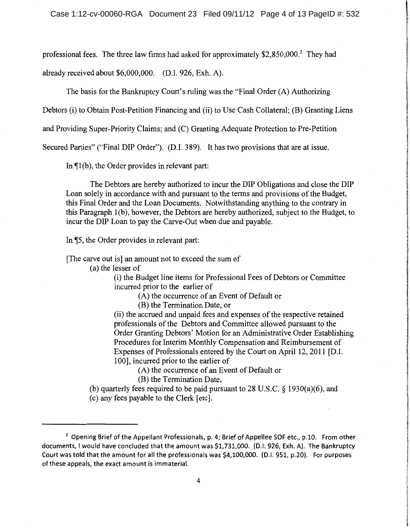professional fees. The three law firms had asked for approximately \$2,850,000.<sup>2</sup> They had

already received about \$6,000,000. (D.I. 926, Exh. A).

The basis for the Bankruptcy Court's ruling was the "Final Order (A) Authorizing

Debtors (i) to Obtain Post-Petition Financing and (ii) to Use Cash Collateral; (B) Granting Liens

and Providing Super-Priority Claims; and (C) Granting Adequate Protection to Pre-Petition

Secured Parties" ("Final DIP Order"). (D.I. 389). It has two provisions that are at issue.

In  $\P$ 1(b), the Order provides in relevant part:

The Debtors are hereby authorized to incur the DIP Obligations and close the DIP Loan solely in accordance with and pursuant to the terms and provisions of the Budget, this Final Order and the Loan Documents. Notwithstanding anything to the contrary in this Paragraph 1(b), however, the Debtors are hereby authorized, subject to the Budget, to incur the DIP Loan to pay the Carve-Out when due and payable.

In  $\sqrt{5}$ , the Order provides in relevant part:

[The carve out is] an amount not to exceed the sum of

(a) the lesser of

(i) the Budget line items for Professional Fees of Debtors or Committee incurred prior to the earlier of

(A) the occurrence of an Event of Default or

(B) the Termination Date, or

(ii) the accrued and unpaid fees and expenses of the respective retained professionals of the Debtors and Committee allowed pursuant to the Order Granting Debtors' Motion for an Administrative Order Establishing Procedures for Interim Monthly Compensation and Reimbursement of Expenses of Professionals entered by the Court on April 12, 2011 [D.I.] 100], incurred prior to the earlier of

(A) the occurrence of an Event of Default or

(B) the Termination Date,

(b) quarterly fees required to be paid pursuant to 28 U.S.C. § 1930(a)(6), and (c) any fees payable to the Clerk [etc].

 $2$  Opening Brief of the Appellant Professionals, p. 4; Brief of Appellee SOF etc., p.10. From other documents, I would have concluded that the amount was \$1,731,000. (D.I. 926, Exh. A). The Bankruptcy Court was told that the amount for all the professionals was \$4,100,000. (D.I. 951, p.20). For purposes of these appeals, the exact amount is immaterial.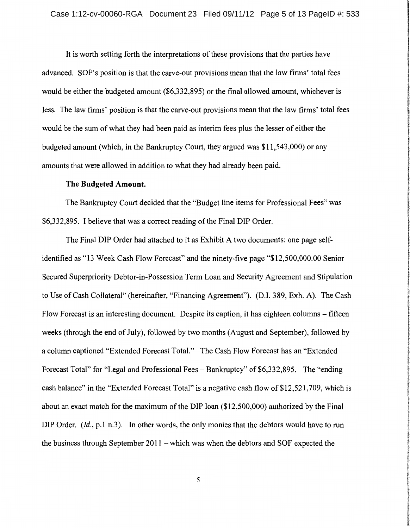It is worth setting forth the interpretations of these provisions that the parties have advanced. SOF's position is that the carve-out provisions mean that the law firms' total fees would be either the budgeted amount (\$6,332,895) or the final allowed amount, whichever is less. The law firms' position is that the carve-out provisions mean that the law firms' total fees would be the sum of what they had been paid as interim fees plus the lesser of either the budgeted amount (which, in the Bankruptcy Court, they argued was \$11,543,000) or any amounts that were allowed in addition to what they had already been paid.

## **The Budgeted Amount.**

The Bankruptcy Court decided that the "Budget line items for Professional Fees" was \$6,332,895. I believe that was a correct reading of the Final DIP Order.

The Final DIP Order had attached to it as Exhibit A two documents: one page selfidentified as "13 Week Cash Flow Forecast" and the ninety-five page "\$12,500,000.00 Senior Secured Superpriority Debtor-in-Possession Term Loan and Security Agreement and Stipulation to Use of Cash Collateral" (hereinafter, "Financing Agreement"). (D.I. 389, Exh. A). The Cash Flow Forecast is an interesting document. Despite its caption, it has eighteen columns – fifteen weeks (through the end of July), followed by two months (August and September), followed by a column captioned "Extended Forecast Total." The Cash Flow Forecast has an "Extended Forecast Total" for "Legal and Professional Fees - Bankruptcy" of \$6,332,895. The "ending cash balance" in the "Extended Forecast Total" is a negative cash flow of \$12,521,709, which is about an exact match for the maximum of the DIP loan  $(\$12,500,000)$  authorized by the Final DIP Order. *(Id., p.1 n.3).* In other words, the only monies that the debtors would have to run the business through September 2011 - which was when the debtors and SOF expected the

5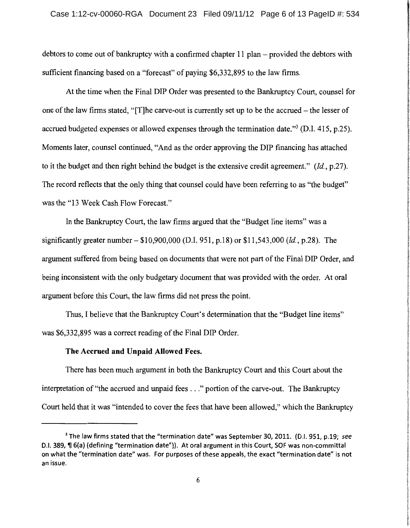debtors to come out of bankruptcy with a confirmed chapter 11 plan – provided the debtors with sufficient financing based on a "forecast" of paying \$6,332,895 to the law firms.

At the time when the Final DIP Order was presented to the Bankruptcy Court, counsel for one of the law firms stated, "[T]he carve-out is currently set up to be the accrued- the lesser of accrued budgeted expenses or allowed expenses through the termination date."3 (D.I. 415, p.25). Moments later, counsel continued, "And as the order approving the DIP financing has attached to it the budget and then right behind the budget is the extensive credit agreement." *(!d.,* p.27). The record reflects that the only thing that counsel could have been referring to as "the budget" was the "13 Week Cash Flow Forecast."

In the Bankruptcy Court, the law firms argued that the "Budget line items" was a significantly greater number- \$10,900,000 (D.I. 951, p.18) or \$11,543,000 *(!d.,* p.28). The argument suffered from being based on documents that were not part of the Final DIP Order, and being inconsistent with the only budgetary document that was provided with the order. At oral argument before this Court, the law firms did not press the point.

Thus, I believe that the Bankruptcy Court's determination that the "Budget line items" was \$6,332,895 was a correct reading of the Final DIP Order.

#### The Accrued and Unpaid Allowed Fees.

There has been much argument in both the Bankruptcy Court and this Court about the interpretation of "the accrued and unpaid fees . . ." portion of the carve-out. The Bankruptcy Court held that it was "intended to cover the fees that have been allowed," which the Bankruptcy

<sup>3</sup>The law firms stated that the "termination date" was September 30, 2011. (D.I. 951, p.19; *see*  D.I. 389, ¶ 6(a) (defining "termination date")). At oral argument in this Court, SOF was non-committal on what the "termination date" was. For purposes of these appeals, the exact "termination date" is not an issue.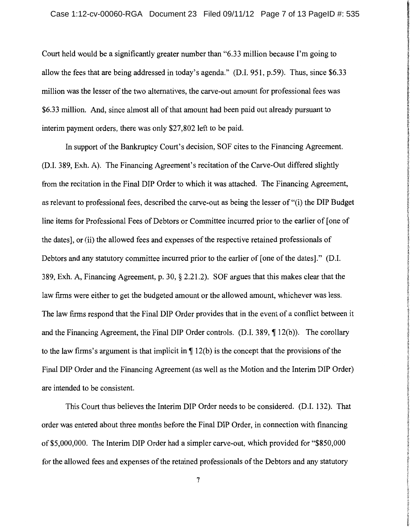Court held would be a significantly greater number than "6.33 million because I'm going to allow the fees that are being addressed in today's agenda." (D.I. 951, p.59). Thus, since \$6.33 million was the lesser of the two alternatives, the carve-out amount for professional fees was \$6.33 million. And, since almost all of that amount had been paid out already pursuant to interim payment orders, there was only \$27,802 left to be paid.

In support of the Bankruptcy Court's decision, SOF cites to the Financing Agreement. (D.I. 389, Exh. A). The Financing Agreement's recitation of the Carve-Out differed slightly from the recitation in the Final DIP Order to which it was attached. The Financing Agreement, as relevant to professional fees, described the carve-out as being the lesser of "(i) the DIP Budget line items for Professional Fees of Debtors or Committee incurred prior to the earlier of [one of the dates], or (ii) the allowed fees and expenses of the respective retained professionals of Debtors and any statutory committee incurred prior to the earlier of [one of the dates]." (D.I. 389, Exh. A, Financing Agreement, p. 30, § 2.21.2). SOF argues that this makes clear that the law firms were either to get the budgeted amount or the allowed amount, whichever was less. The law firms respond that the Final DIP Order provides that in the event of a conflict between it and the Financing Agreement, the Final DIP Order controls.  $(D.I. 389,  $\P$  12(b)).$  The corollary to the law firms's argument is that implicit in  $\P$  12(b) is the concept that the provisions of the Final DIP Order and the Financing Agreement (as well as the Motion and the Interim DIP Order) are intended to be consistent.

This Court thus believes the Interim DIP Order needs to be considered. (D.I. 132). That order was entered about three months before the Final DIP Order, in connection with financing of \$5,000,000. The Interim DIP Order had a simpler carve-out, which provided for "\$850,000 for the allowed fees and expenses of the retained professionals of the Debtors and any statutory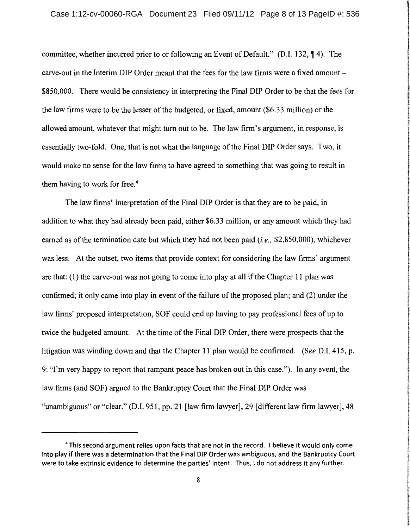committee, whether incurred prior to or following an Event of Default." (D.I. 132,  $\P$ 4). The carve-out in the Interim DIP Order meant that the fees for the law firms were a fixed amount- \$850,000. There would be consistency in interpreting the Final DIP Order to be that the fees for the law firms were to be the lesser of the budgeted, or fixed, amount (\$6.33 million) or the allowed amount, whatever that might tum out to be. The law firm's argument, in response, is essentially two-fold. One, that is not what the language of the Final DIP Order says. Two, it would make no sense for the law firms to have agreed to something that was going to result in them having to work for free.<sup>4</sup>

The law firms' interpretation of the Final DIP Order is that they are to be paid, in addition to what they had already been paid, either \$6.33 million, or any amount which they had earned as ofthe termination date but which they had not been paid *(i.e.,* \$2,850,000), whichever was less. At the outset, two items that provide context for considering the law firms' argument are that: (1) the carve-out was not going to come into play at all if the Chapter 11 plan was confirmed; it only came into play in event of the failure of the proposed plan; and (2) under the law firms' proposed interpretation, SOF could end up having to pay professional fees of up to twice the budgeted amount. At the time of the Final DIP Order, there were prospects that the litigation was winding down and that the Chapter 11 plan would be confirmed. *(See* D.l. 415, p. 9: "I'm very happy to report that rampant peace has broken out in this case."). In any event, the law firms (and SOF) argued to the Bankruptcy Court that the Final DIP Order was "unambiguous" or "clear." (D.I. 951, pp. 21 [law firm lawyer], 29 [different law firm lawyer], 48

<sup>4</sup>This second argument relies upon facts that are not in the record. I believe it would only come into play if there was a determination that the Final DIP Order was ambiguous, and the Bankruptcy Court were to take extrinsic evidence to determine the parties' intent. Thus, I do not address it any further.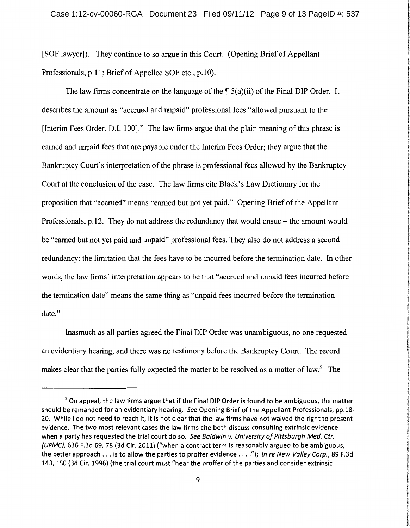**International Dealer Review Pro American** 

**In adult and Concording Science** 

**Kilderich Licher** أمدانتكاري

[SOF lawyer]). They continue to so argue in this Court. (Opening Brief of Appellant Professionals, p.11; Brief of Appellee SOF etc., p.10).

The law firms concentrate on the language of the  $\int 5(a)(ii)$  of the Final DIP Order. It describes the amount as "accrued and unpaid" professional fees "allowed pursuant to the [Interim Fees Order, D.I. 100]." The law firms argue that the plain meaning ofthis phrase is earned and unpaid fees that are payable under the Interim Fees Order; they argue that the Bankruptcy Court's interpretation of the phrase is professional fees allowed by the Bankruptcy Court at the conclusion of the case. The law firms cite Black's Law Dictionary for the proposition that "accrued" means "earned but not yet paid." Opening Brief of the Appellant Professionals,  $p.12$ . They do not address the redundancy that would ensue – the amount would be "earned but not yet paid and unpaid" professional fees. They also do not address a second redundancy: the limitation that the fees have to be incurred before the termination date. In other words, the law firms' interpretation appears to be that "accrued and unpaid fees incurred before the termination date" means the same thing as "unpaid fees incurred before the termination date."

Inasmuch as all parties agreed the Final DIP Order was unambiguous, no one requested an evidentiary hearing, and there was no testimony before the Bankruptcy Court. The record makes clear that the parties fully expected the matter to be resolved as a matter of law.<sup>5</sup> The

<sup>&</sup>lt;sup>5</sup> On appeal, the law firms argue that if the Final DIP Order is found to be ambiguous, the matter should be remanded for an evidentiary hearing. See Opening Brief of the Appellant Professionals, pp.18- 20. While I do not need to reach it, it is not clear that the law firms have not waived the right to present evidence. The two most relevant cases the law firms cite both discuss consulting extrinsic evidence when a party has requested the trial court do so. See Baldwin v. University of Pittsburgh Med. Ctr. (UPMC), 636 F.3d 69, 78 (3d Cir. 2011) ("when a contract term is reasonably argued to be ambiguous, the better approach  $\dots$  is to allow the parties to proffer evidence  $\dots$ ."); In re New Valley Corp., 89 F.3d 143, 150 (3d Cir. 1996) (the trial court must "hear the proffer of the parties and consider extrinsic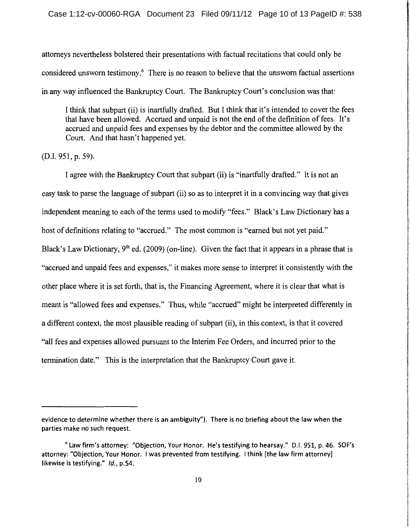attorneys nevertheless bolstered their presentations with factual recitations that could only be considered unsworn testimony.6 There is no reason to believe that the unsworn factual assertions in any way influenced the Bankruptcy Court. The Bankruptcy Court's conclusion was that:

I think that subpart (ii) is inartfully drafted. But I think that it's intended to cover the fees that have been allowed. Accrued and unpaid is not the end of the definition of fees. It's accrued and unpaid fees and expenses by the debtor and the committee allowed by the Court. And that hasn't happened yet.

(D.I. 951, p. 59).

I agree with the Bankruptcy Court that subpart (ii) is "inartfully drafted." It is not an easy task to parse the language of subpart (ii) so as to interpret it in a convincing way that gives independent meaning to each of the terms used to modify "fees." Black's Law Dictionary has a host of definitions relating to "accrued." The most common is "earned but not yet paid." Black's Law Dictionary, 9<sup>th</sup> ed. (2009) (on-line). Given the fact that it appears in a phrase that is "accrued and unpaid fees and expenses," it makes more sense to interpret it consistently with the other place where it is set forth, that is, the Financing Agreement, where it is clear that what is meant is "allowed fees and expenses." Thus, while "accrued" might be interpreted differently in a different context, the most plausible reading of subpart (ii), in this context, is that it covered "all fees and expenses allowed pursuant to the Interim Fee Orders, and incurred prior to the termination date." This is the interpretation that the Bankruptcy Court gave it.

evidence to determine whether there is an ambiguity"). There is no briefing about the law when the parties make no such request.

 $6$  Law firm's attorney: "Objection, Your Honor. He's testifying to hearsay." D.I. 951, p. 46. SOF's attorney: "Objection, Your Honor. I was prevented from testifying. I think [the law firm attorney] likewise is testifying." Id., p.54.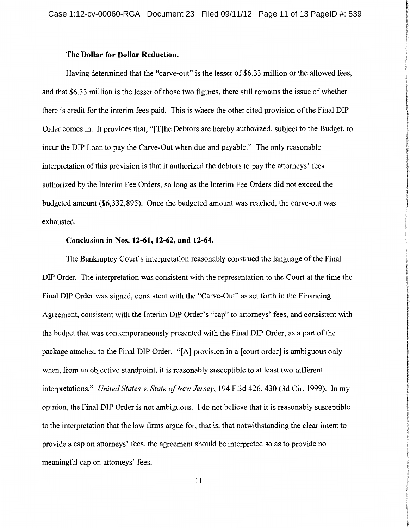#### **The Dollar for Dollar Reduction.**

Having determined that the "carve-out" is the lesser of \$6.33 million or the allowed fees, and that \$6.33 million is the lesser of those two figures, there still remains the issue of whether there is credit for the interim fees paid. This is where the other cited provision of the Final DIP Order comes in. It provides that, "[T]he Debtors are hereby authorized, subject to the Budget, to incur the DIP Loan to pay the Carve-Out when due and payable." The only reasonable interpretation of this provision is that it authorized the debtors to pay the attorneys' fees authorized by the Interim Fee Orders, so long as the Interim Fee Orders did not exceed the budgeted amount (\$6,332,895). Once the budgeted amount was reached, the carve-out was exhausted.

#### **Conclusion in** Nos. **12-61, 12-62, and 12-64.**

The Bankruptcy Court's interpretation reasonably construed the language of the Final DIP Order. The interpretation was consistent with the representation to the Court at the time the Final DIP Order was signed, consistent with the "Carve-Out" as set forth in the Financing Agreement, consistent with the Interim DIP Order's "cap" to attorneys' fees, and consistent with the budget that was contemporaneously presented with the Final DIP Order, as a part of the package attached to the Final DIP Order. "[A] provision in a [court order] is ambiguous only when, from an objective standpoint, it is reasonably susceptible to at least two different interpretations." *United States v. State of New Jersey,* 194 F.3d 426, 430 (3d Cir. 1999). In my opinion, the Final DIP Order is not ambiguous. I do not believe that it is reasonably susceptible to the interpretation that the law firms argue for, that is, that notwithstanding the clear intent to provide a cap on attorneys' fees, the agreement should be interpreted so as to provide no meaningful cap on attorneys' fees.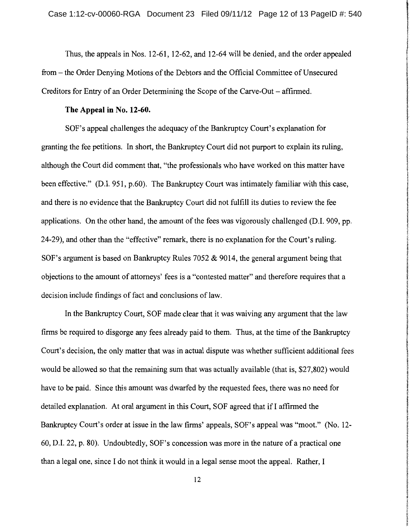**International Constitution Constitution** 

**INTERNATION** f f '

Thus, the appeals in Nos. 12-61, 12-62, and 12-64 will be denied, and the order appealed from- the Order Denying Motions of the Debtors and the Official Committee of Unsecured Creditors for Entry of an Order Determining the Scope of the Carve-Out – affirmed.

#### **The Appeal in** No. **12-60.**

SOF's appeal challenges the adequacy of the Bankruptcy Court's explanation for granting the fee petitions. In short, the Bankruptcy Court did not purport to explain its ruling, although the Court did comment that, "the professionals who have worked on this matter have been effective." (D.I. 951, p.60). The Bankruptcy Court was intimately familiar with this case, and there is no evidence that the Bankruptcy Court did not fulfill its duties to review the fee applications. On the other hand, the amount of the fees was vigorously challenged (D.I. 909, pp. 24-29), and other than the "effective" remark, there is no explanation for the Court's ruling. SOF's argument is based on Bankruptcy Rules 7052 & 9014, the general argument being that objections to the amount of attorneys' fees is a "contested matter" and therefore requires that a decision include findings of fact and conclusions of law.

In the Bankruptcy Court, SOF made clear that it was waiving any argument that the law firms be required to disgorge any fees already paid to them. Thus, at the time of the Bankruptcy Court's decision, the only matter that was in actual dispute was whether sufficient additional fees would be allowed so that the remaining sum that was actually available (that is, \$27 ,802) would have to be paid. Since this amount was dwarfed by the requested fees, there was no need for detailed explanation. At oral argument in this Court, SOF agreed that ifl affirmed the Bankruptcy Court's order at issue in the law firms' appeals, SOF's appeal was "moot." (No. 12- 60, D.I. 22, p. 80). Undoubtedly, SOF's concession was more in the nature of a practical one than a legal one, since I do not think it would in a legal sense moot the appeal. Rather, I